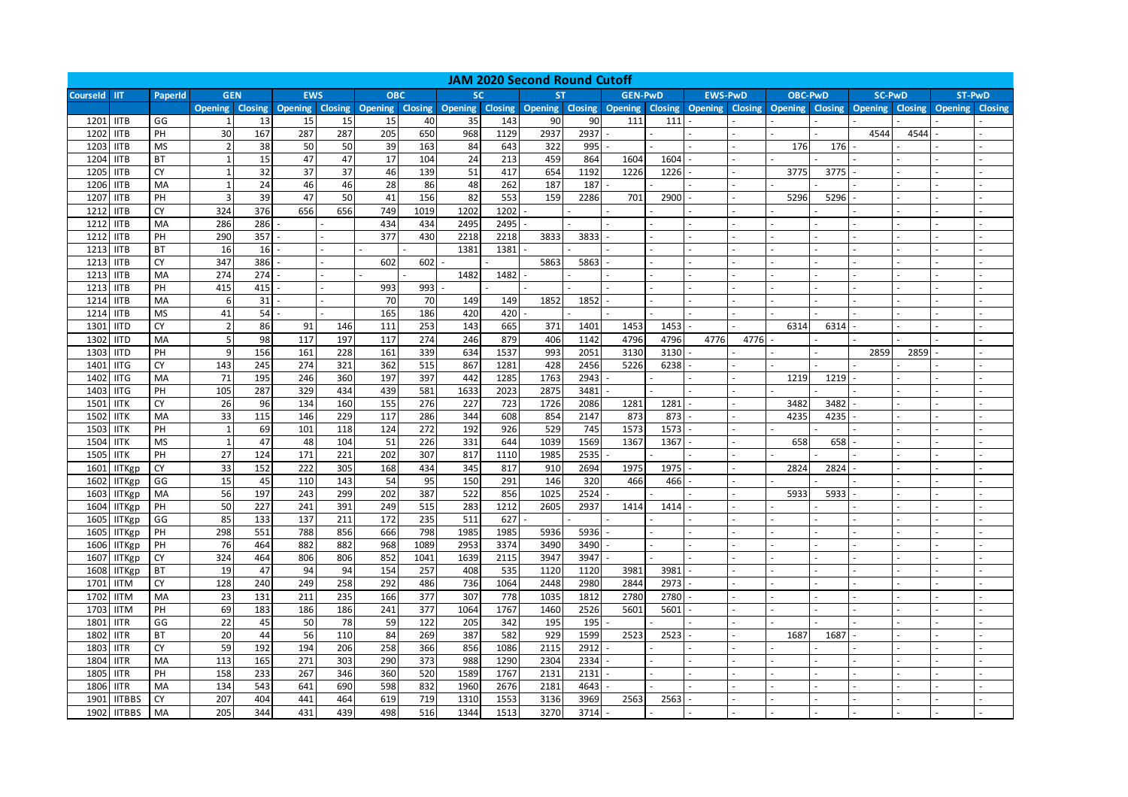| <b>JAM 2020 Second Round Cutoff</b> |                              |                 |                |                |                                |           |            |                |                                 |             |              |              |                |      |                        |                |                |                |                |                |                |         |
|-------------------------------------|------------------------------|-----------------|----------------|----------------|--------------------------------|-----------|------------|----------------|---------------------------------|-------------|--------------|--------------|----------------|------|------------------------|----------------|----------------|----------------|----------------|----------------|----------------|---------|
| <b>Courseld</b>                     | <b>IIT</b>                   | PaperId         | <b>GEN</b>     |                | <b>EWS</b>                     |           | <b>OBC</b> |                | <b>SC</b>                       |             | <b>ST</b>    |              | <b>GEN-PwD</b> |      | <b>EWS-PwD</b>         |                | <b>OBC-PwD</b> |                | <b>SC-PwD</b>  |                | <b>ST-PwD</b>  |         |
|                                     |                              |                 | <b>Opening</b> | <b>Closing</b> | <b>Opening Closing Opening</b> |           |            | <b>Closing</b> | Opening Closing Opening Closing |             |              |              | <b>Opening</b> |      | <b>Closing Opening</b> | <b>Closing</b> | <b>Opening</b> | <b>Closing</b> | <b>Opening</b> | <b>Closing</b> | <b>Opening</b> | Closing |
| 1201                                | <b>IITB</b>                  | GG              |                | 13             | 15                             | 15        | 15         | 40             | 35                              | 143         | 90           | 90           | 111            | 111  |                        |                |                |                |                |                |                |         |
| 1202                                | <b>IITB</b>                  | PH              | 30             | 167            | 287                            | 287       | 205        | 650            | 968                             | 1129        | 2937         | 2937         |                |      |                        |                |                |                | 4544           | 4544           |                |         |
| 1203                                | <b>IITB</b>                  | <b>MS</b>       | $\overline{2}$ | 38             | 50                             | 50        | 39         | 163            | 84                              | 643         | 322          | 995          |                |      |                        |                | 176            | 176            |                |                |                |         |
| 1204 IITB                           |                              | <b>BT</b>       | 1              | 15             | 47                             | 47        | 17         | 104            | 24                              | 213         | 459          | 864          | 1604           | 1604 |                        |                |                |                |                |                |                |         |
| 1205                                | <b>IITB</b>                  | <b>CY</b>       | $\mathbf{1}$   | 32             | 37                             | 37        | 46         | 139            | 51                              | 417         | 654          | 1192         | 1226           | 1226 |                        |                | 3775           | 3775           |                |                |                |         |
| 1206                                | <b>IITB</b>                  | MA              | $\mathbf{1}$   | 24             | 46                             | 46        | 28         | 86             | 48                              | 262         | 187          | 187          |                |      |                        |                |                |                |                |                |                |         |
| 1207                                | <b>IITB</b>                  | PH              | 3              | 39             | 47                             | 50        | 41         | 156            | 82                              | 553         | 159          | 2286         | 701            | 2900 |                        |                | 5296           | 5296           |                |                |                |         |
| 1212                                | <b>IITB</b>                  | <b>CY</b>       | 324            | 376            | 656                            | 656       | 749        | 1019           | 1202                            | 1202        |              |              |                |      |                        |                |                |                |                |                |                |         |
| 1212                                | <b>IITB</b>                  | MA              | 286            | 286            |                                |           | 434        | 434            | 2495                            | 2495        |              |              |                |      |                        |                |                |                |                |                |                |         |
| 1212                                | <b>IITB</b>                  | PH              | 290            | 357            |                                |           | 377        | 430            | 2218                            | 2218        | 3833         | 3833         |                |      |                        |                |                |                |                |                |                |         |
| 1213                                | <b>IITB</b>                  | <b>BT</b>       | 16             | 16             |                                |           |            |                | 1381                            | 1381        |              |              |                |      |                        |                |                |                |                |                |                |         |
| 1213                                | <b>IITB</b>                  | CY              | 347            | 386            |                                |           | 602        | 602            |                                 |             | 5863         | 5863         |                |      |                        |                |                |                |                |                |                |         |
| 1213                                | <b>IITB</b>                  | MA              | 274            | 274            |                                |           |            |                | 1482                            | 1482        |              |              |                |      |                        |                |                |                |                |                |                |         |
| 1213                                | <b>IITB</b>                  | PH              | 415            | 415            |                                |           | 993        | 993            |                                 |             |              |              |                |      |                        |                |                |                |                |                |                |         |
| 1214                                | <b>IITB</b>                  | MA              | 6              | 31             |                                |           | 70         | 70             | 149                             | 149         | 1852         | 1852         |                |      |                        |                |                |                |                |                |                |         |
| 1214                                | <b>IITB</b>                  | <b>MS</b>       | 41             | 54             |                                |           | 165        | 186            | 420                             | 420         |              |              |                |      |                        |                |                |                |                |                |                |         |
| 1301                                | <b>IITD</b>                  | <b>CY</b>       |                | 86             | 91                             | 146       | 111        | 253            | 143                             | 665         | 371          | 1401         | 1453           | 1453 |                        |                | 6314           | 6314           |                |                |                |         |
| 1302                                | <b>IITD</b>                  | MA              |                | 98             | 117                            | 197       | 117        | 274            | 246                             | 879         | 406          | 1142         | 4796           | 4796 | 4776                   | 4776           |                |                |                |                |                |         |
| 1303                                | <b>IITD</b>                  | PH              | q              | 156            | 161                            | 228       | 161        | 339            | 634                             | 1537        | 993          | 2051         | 3130           | 3130 |                        |                |                |                | 2859           | 2859           |                |         |
| 1401                                | <b>IITG</b>                  | <b>CY</b>       | 143            | 245            | 274                            | 321       | 362        | 515            | 867                             | 1281        | 428          | 2456         | 5226           | 6238 |                        |                |                |                |                |                |                |         |
| 1402                                | <b>IITG</b>                  | MA              | 71             | 195            | 246                            | 360       | 197        | 397            | 442                             | 1285        | 1763         | 2943         |                |      |                        |                | 1219           | 1219           |                |                |                |         |
| 1403                                | <b>IITG</b>                  | PH              | 105            | 287            | 329                            | 434       | 439        | 581            | 1633                            | 2023        | 2875         | 3481         |                |      |                        |                |                |                |                |                |                |         |
| 1501                                | <b>IITK</b>                  | <b>CY</b>       | 26             | 96             | 134                            | 160       | 155        | 276            | 227                             | 723         | 1726         | 2086         | 1281           | 1281 |                        |                | 3482           | 3482           |                |                |                |         |
| 1502                                | <b>IITK</b>                  | MA              | 33             | 115            | 146                            | 229       | 117        | 286            | 344                             | 608         | 854          | 2147         | 873            | 873  |                        |                | 4235           | 4235           |                |                |                |         |
| 1503                                | <b>IITK</b>                  | PH              | $\mathbf{1}$   | 69             | 101                            | 118       | 124        | 272            | 192                             | 926         | 529          | 745          | 1573           | 1573 |                        |                |                |                |                |                |                |         |
| 1504                                | <b>IITK</b>                  | <b>MS</b>       | $\overline{1}$ | 47             | 48                             | 104       | 51         | 226            | 331                             | 644         | 1039         | 1569         | 1367           | 1367 |                        |                | 658            | 658            |                |                |                |         |
| 1505                                | <b>IITK</b>                  | PH              | 27             | 124            | 171                            | 221       | 202        | 307            | 817                             | 1110        | 1985         | 2535         |                |      |                        |                |                |                |                |                |                |         |
| 1601                                | <b>IITKgp</b>                | <b>CY</b>       | 33             | 152            | 222                            | 305       | 168        | 434            | 345                             | 817         | 910          | 2694         | 1975           | 1975 |                        |                | 2824           | 2824           |                |                |                |         |
| 1602                                | <b>IITKgp</b>                | GG              | 15             | 45             | 110                            | 143       | 54         | 95             | 150                             | 291         | 146          | 320          | 466            | 466  |                        |                |                |                |                |                |                |         |
| 1603                                | <b>IITKgp</b>                | MA              | 56             | 197            | 243                            | 299       | 202        | 387            | 522                             | 856         | 1025         | 2524         |                |      |                        |                | 5933           | 5933           |                |                |                |         |
| 1604                                | <b>IITKgp</b>                | PH              | 50             | 227            | 241                            | 391       | 249        | 515            | 283                             | 1212        | 2605         | 2937         | 1414           | 1414 |                        |                |                |                |                |                |                |         |
| 1605                                | <b>IITKgp</b>                | GG              | 85             | 133            | 137                            | 211       | 172        | 235            | 511                             | 627         |              |              |                |      |                        |                |                |                |                |                |                |         |
| 1605                                | <b>IITKgp</b>                | PH              | 298            | 551            | 788                            | 856       | 666        | 798            | 1985                            | 1985        | 5936         | 5936         |                |      |                        |                |                |                |                |                |                |         |
| 1606                                | <b>IITKgp</b>                | PH              | 76             | 464            | 882                            | 882       | 968        | 1089           | 2953                            | 3374        | 3490         | 3490         |                |      |                        |                |                |                |                |                |                |         |
| 1607                                | <b>IITKgp</b>                | CY<br><b>BT</b> | 324<br>19      | 464<br>47      | 806<br>94                      | 806<br>94 | 852<br>154 | 1041<br>257    | 1639<br>408                     | 2115<br>535 | 3947<br>1120 | 3947<br>1120 | 3981           | 3981 |                        |                |                |                |                |                |                |         |
| 1608<br>1701                        | <b>IITKgp</b><br><b>IITM</b> | CY              | 128            | 240            | 249                            | 258       | 292        | 486            | 736                             | 1064        | 2448         | 2980         | 2844           | 2973 |                        |                |                |                |                |                |                |         |
| 1702                                | <b>IITM</b>                  | MA              | 23             | 131            | 211                            | 235       | 166        | 377            | 307                             | 778         | 1035         | 1812         | 2780           | 2780 |                        |                |                |                |                |                |                |         |
| 1703                                | <b>IITM</b>                  | PH              | 69             | 183            | 186                            | 186       | 241        | 377            | 1064                            | 1767        | 1460         | 2526         | 5601           | 5601 |                        |                |                |                |                |                |                |         |
| 1801                                | <b>IITR</b>                  | GG              | 22             | 45             | 50                             | 78        | 59         | 122            | 205                             | 342         | 195          | 195          |                |      |                        |                |                |                |                |                |                |         |
| 1802                                | <b>IITR</b>                  | ВT              | 20             | 44             | 56                             | 110       | 84         | 269            | 387                             | 582         | 929          | 1599         | 2523           | 2523 |                        |                | 1687           | 1687           |                |                |                |         |
| 1803                                | <b>IITR</b>                  | <b>CY</b>       | 59             | 192            | 194                            | 206       | 258        | 366            | 856                             | 1086        | 2115         | 2912         |                |      |                        |                |                |                |                |                |                |         |
| 1804                                | <b>IITR</b>                  | MA              | 113            | 165            | 271                            | 303       | 290        | 373            | 988                             | 1290        | 2304         | 2334         |                |      |                        |                |                |                |                |                |                |         |
| 1805                                | <b>IITR</b>                  | PH              | 158            | 233            | 267                            | 346       | 360        | 520            | 1589                            | 1767        | 2131         | 2131         |                |      |                        |                |                |                |                |                |                |         |
| 1806                                | <b>IITR</b>                  | MA              | 134            | 543            | 641                            | 690       | 598        | 832            | 1960                            | 2676        | 2181         | 4643         |                |      |                        |                |                |                |                |                |                |         |
| 1901                                | <b>IITBBS</b>                | CY              | 207            | 404            | 441                            | 464       | 619        | 719            | 1310                            | 1553        | 3136         | 3969         | 2563           | 2563 |                        |                |                |                |                |                |                |         |
|                                     | 1902 IITBBS                  | MA              | 205            | 344            | 431                            | 439       | 498        | 516            | 1344                            | 1513        | 3270         | 3714         |                |      |                        |                |                |                |                |                |                |         |
|                                     |                              |                 |                |                |                                |           |            |                |                                 |             |              |              |                |      |                        |                |                |                |                |                |                |         |